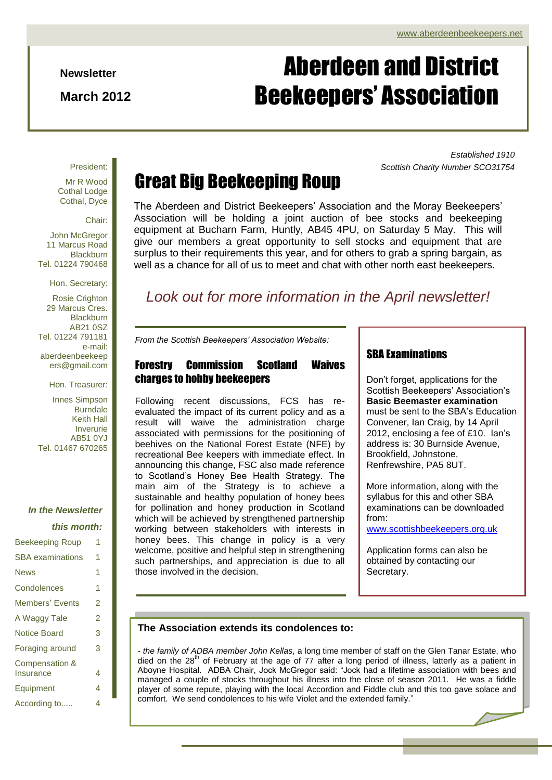*Established 1910*

*Scottish Charity Number SCO31754*

#### **Newsletter**

**March 2012**

# Aberdeen and District Beekeepers' Association

#### President:

Mr R Wood Cothal Lodge Cothal, Dyce

Chair:

John McGregor 11 Marcus Road **Blackburn** Tel. 01224 790468

Hon. Secretary:

Rosie Crighton 29 Marcus Cres. Blackburn AB21 0SZ Tel. 01224 791181 e-mail: aberdeenbeekeep ers@gmail.com

Hon. Treasurer:

Innes Simpson Burndale Keith Hall Inverurie AB51 0YJ Tel. 01467 670265

### *In the Newsletter*

#### *this month:*

| <b>Beekeeping Roup</b>    | 1              |
|---------------------------|----------------|
| <b>SBA</b> examinations   | 1              |
| <b>News</b>               | 1              |
| Condolences               | 1              |
| <b>Members' Events</b>    | 2              |
| A Waggy Tale              | $\overline{2}$ |
| <b>Notice Board</b>       | 3              |
| Foraging around           | 3              |
| <b>Compensation &amp;</b> |                |
| Insurance                 | 4              |
| Equipment                 | 4              |
| According to              | 4              |

## Great Big Beekeeping Roup

The Aberdeen and District Beekeepers' Association and the Moray Beekeepers' Association will be holding a joint auction of bee stocks and beekeeping equipment at Bucharn Farm, Huntly, AB45 4PU, on Saturday 5 May. This will give our members a great opportunity to sell stocks and equipment that are surplus to their requirements this year, and for others to grab a spring bargain, as well as a chance for all of us to meet and chat with other north east beekeepers.

### *Look out for more information in the April newsletter!*

*From the Scottish Beekeepers' Association Website:*

### Forestry Commission Scotland Waives charges to hobby beekeepers

Following recent discussions, FCS has reevaluated the impact of its current policy and as a result will waive the administration charge associated with permissions for the positioning of beehives on the National Forest Estate (NFE) by recreational Bee keepers with immediate effect. In announcing this change, FSC also made reference to Scotland's Honey Bee Health Strategy. The main aim of the Strategy is to achieve a sustainable and healthy population of honey bees for pollination and honey production in Scotland which will be achieved by strengthened partnership working between stakeholders with interests in honey bees. This change in policy is a very welcome, positive and helpful step in strengthening such partnerships, and appreciation is due to all those involved in the decision.

#### SBA Examinations

Don't forget, applications for the Scottish Beekeepers' Association's **Basic Beemaster examination** must be sent to the SBA's Education Convener, Ian Craig, by 14 April 2012, enclosing a fee of £10. Ian's address is: 30 Burnside Avenue, Brookfield, Johnstone, Renfrewshire, PA5 8UT.

More information, along with the syllabus for this and other SBA examinations can be downloaded from:

[www.scottishbeekeepers.org.uk](http://www.scottishbeekeepers.org.uk/) 

Application forms can also be obtained by contacting our Secretary.

#### **The Association extends its condolences to:**

Aboyne Hospital. ADBA Chair, Jock McGregor said: "Jock had a lifetime association with bees and *- the family of ADBA member John Kellas*, a long time member of staff on the Glen Tanar Estate, who died on the 28<sup>th</sup> of February at the age of 77 after a long period of illness, latterly as a patient in managed a couple of stocks throughout his illness into the close of season 2011. He was a fiddle player of some repute, playing with the local Accordion and Fiddle club and this too gave solace and comfort. We send condolences to his wife Violet and the extended family."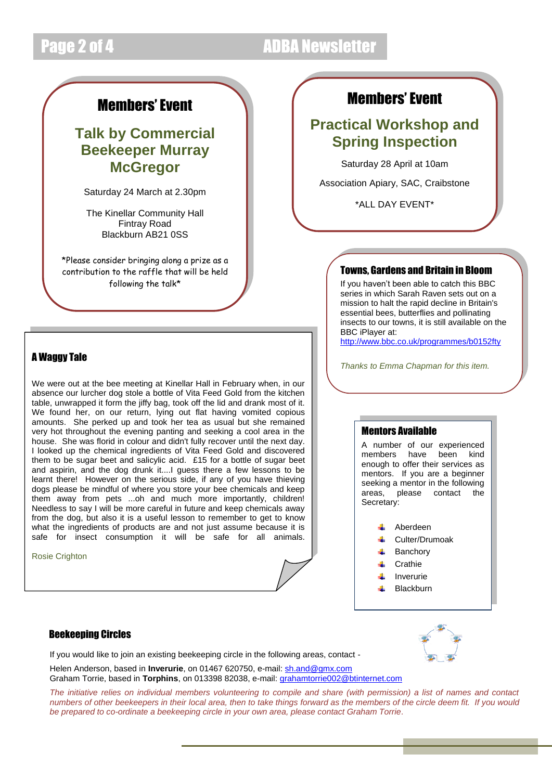## Page 2 of 4 ADBA Newsletter

### Members' Event

### **Talk by Commercial Beekeeper Murray McGregor**

Saturday 24 March at 2.30pm

The Kinellar Community Hall Fintray Road Blackburn AB21 0SS

\*Please consider bringing along a prize as a contribution to the raffle that will be held following the talk\*

### A Waggy Tale

We were out at the bee meeting at Kinellar Hall in February when, in our absence our lurcher dog stole a bottle of Vita Feed Gold from the kitchen table, unwrapped it form the jiffy bag, took off the lid and drank most of it. We found her, on our return, lying out flat having vomited copious amounts. She perked up and took her tea as usual but she remained very hot throughout the evening panting and seeking a cool area in the house. She was florid in colour and didn't fully recover until the next day. I looked up the chemical ingredients of Vita Feed Gold and discovered them to be sugar beet and salicylic acid. £15 for a bottle of sugar beet and aspirin, and the dog drunk it....I guess there a few lessons to be learnt there! However on the serious side, if any of you have thieving dogs please be mindful of where you store your bee chemicals and keep them away from pets ...oh and much more importantly, children! Needless to say I will be more careful in future and keep chemicals away from the dog, but also it is a useful lesson to remember to get to know what the ingredients of products are and not just assume because it is safe for insect consumption it will be safe for all animals.

Rosie Crighton

#### Beekeeping Circles

If you would like to join an existing beekeeping circle in the following areas, contact -

Helen Anderson, based in **Inverurie**, on 01467 620750, e-mail: [sh.and@gmx.com](mailto:sh.and@gmx.com) Graham Torrie, based in **Torphins**, on 013398 82038, e-mail[: grahamtorrie002@btinternet.com](mailto:grahamtorrie002@btinternet.com)

*The initiative relies on individual members volunteering to compile and share (with permission) a list of names and contact numbers of other beekeepers in their local area, then to take things forward as the members of the circle deem fit. If you would be prepared to co-ordinate a beekeeping circle in your own area, please contact Graham Torrie.*

### Members' Event

### **Practical Workshop and Spring Inspection**

Saturday 28 April at 10am

Association Apiary, SAC, Craibstone

\*ALL DAY EVENT\*

#### Towns, Gardens and Britain in Bloom

If you haven't been able to catch this BBC series in which Sarah Raven sets out on a mission to halt the rapid decline in Britain's essential bees, butterflies and pollinating insects to our towns, it is still available on the BBC iPlayer at:

<http://www.bbc.co.uk/programmes/b0152fty>

*Thanks to Emma Chapman for this item.*

#### Mentors Available

A number of our experienced members have been kind enough to offer their services as mentors. If you are a beginner seeking a mentor in the following areas, please contact the Secretary:

> Aberdeen Culter/Drumoak Banchory **Crathie** Inverurie Blackburn

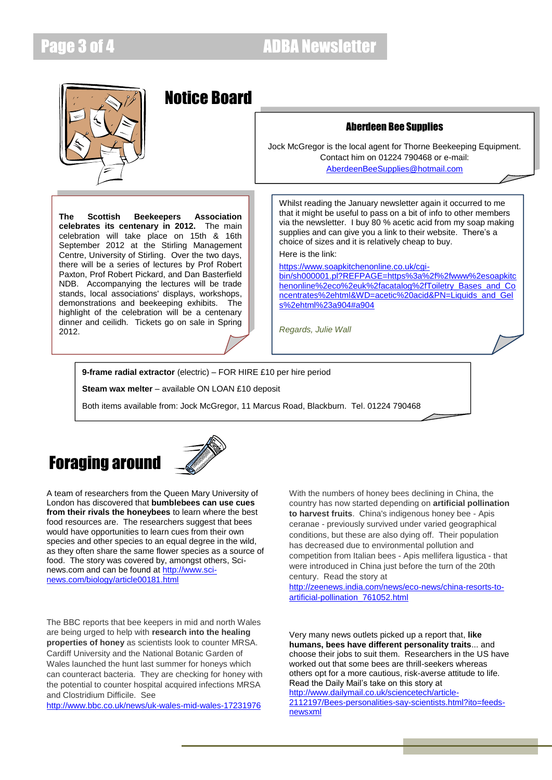### Page 3 of 4 ADBA Newsletter



**9-frame radial extractor** (electric) – FOR HIRE £10 per hire period

**Steam wax melter** – available ON LOAN £10 deposit

Both items available from: Jock McGregor, 11 Marcus Road, Blackburn. Tel. 01224 790468

## Foraging around



A team of researchers from the Queen Mary University of London has discovered that **bumblebees can use cues from their rivals the honeybees** to learn where the best food resources are. The researchers suggest that bees would have opportunities to learn cues from their own species and other species to an equal degree in the wild, as they often share the same flower species as a source of food. The story was covered by, amongst others, Scinews.com and can be found at [http://www.sci](http://www.sci-news.com/biology/article00181.html)[news.com/biology/article00181.html](http://www.sci-news.com/biology/article00181.html)

The BBC reports that bee keepers in mid and north Wales are being urged to help with **research into the healing properties of honey** as scientists look to counter MRSA. Cardiff University and the National Botanic Garden of Wales launched the hunt last summer for honeys which can counteract bacteria. They are checking for honey with the potential to counter hospital acquired infections MRSA and Clostridium Difficile. See

<http://www.bbc.co.uk/news/uk-wales-mid-wales-17231976>

With the numbers of honey bees declining in China, the country has now started depending on **artificial pollination to harvest fruits**. China's indigenous honey bee - Apis ceranae - previously survived under varied geographical conditions, but these are also dying off. Their population has decreased due to environmental pollution and competition from Italian bees - Apis mellifera ligustica - that were introduced in China just before the turn of the 20th century. Read the story at

[http://zeenews.india.com/news/eco-news/china-resorts-to](http://zeenews.india.com/news/eco-news/china-resorts-to-artificial-pollination_761052.html)[artificial-pollination\\_761052.html](http://zeenews.india.com/news/eco-news/china-resorts-to-artificial-pollination_761052.html)

Very many news outlets picked up a report that, **like humans, bees have different personality traits**... and choose their jobs to suit them. Researchers in the US have worked out that some bees are thrill-seekers whereas others opt for a more cautious, risk-averse attitude to life. Read the Daily Mail's take on this story at [http://www.dailymail.co.uk/sciencetech/article-](http://www.dailymail.co.uk/sciencetech/article-2112197/Bees-personalities-say-scientists.html?ito=feeds-newsxml)[2112197/Bees-personalities-say-scientists.html?ito=feeds](http://www.dailymail.co.uk/sciencetech/article-2112197/Bees-personalities-say-scientists.html?ito=feeds-newsxml)[newsxml](http://www.dailymail.co.uk/sciencetech/article-2112197/Bees-personalities-say-scientists.html?ito=feeds-newsxml)